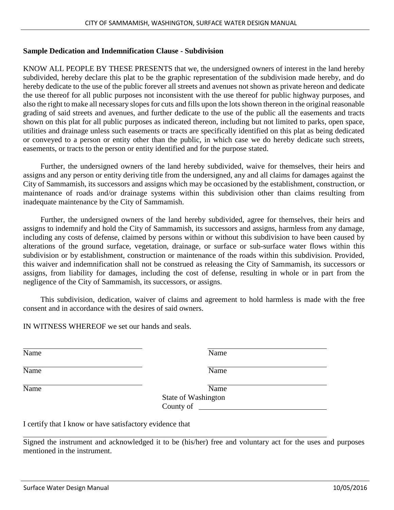## **Sample Dedication and Indemnification Clause - Subdivision**

KNOW ALL PEOPLE BY THESE PRESENTS that we, the undersigned owners of interest in the land hereby subdivided, hereby declare this plat to be the graphic representation of the subdivision made hereby, and do hereby dedicate to the use of the public forever all streets and avenues not shown as private hereon and dedicate the use thereof for all public purposes not inconsistent with the use thereof for public highway purposes, and also the right to make all necessary slopes for cuts and fills upon the lots shown thereon in the original reasonable grading of said streets and avenues, and further dedicate to the use of the public all the easements and tracts shown on this plat for all public purposes as indicated thereon, including but not limited to parks, open space, utilities and drainage unless such easements or tracts are specifically identified on this plat as being dedicated or conveyed to a person or entity other than the public, in which case we do hereby dedicate such streets, easements, or tracts to the person or entity identified and for the purpose stated.

Further, the undersigned owners of the land hereby subdivided, waive for themselves, their heirs and assigns and any person or entity deriving title from the undersigned, any and all claims for damages against the City of Sammamish, its successors and assigns which may be occasioned by the establishment, construction, or maintenance of roads and/or drainage systems within this subdivision other than claims resulting from inadequate maintenance by the City of Sammamish.

Further, the undersigned owners of the land hereby subdivided, agree for themselves, their heirs and assigns to indemnify and hold the City of Sammamish, its successors and assigns, harmless from any damage, including any costs of defense, claimed by persons within or without this subdivision to have been caused by alterations of the ground surface, vegetation, drainage, or surface or sub-surface water flows within this subdivision or by establishment, construction or maintenance of the roads within this subdivision. Provided, this waiver and indemnification shall not be construed as releasing the City of Sammamish, its successors or assigns, from liability for damages, including the cost of defense, resulting in whole or in part from the negligence of the City of Sammamish, its successors, or assigns.

This subdivision, dedication, waiver of claims and agreement to hold harmless is made with the free consent and in accordance with the desires of said owners.

IN WITNESS WHEREOF we set our hands and seals.

Name Name Name

Name Name

Name Name Name

State of Washington County of

I certify that I know or have satisfactory evidence that

Signed the instrument and acknowledged it to be (his/her) free and voluntary act for the uses and purposes mentioned in the instrument.